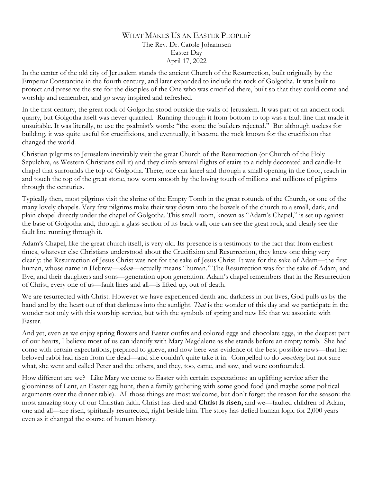## WHAT MAKES US AN EASTER PEOPLE? The Rev. Dr. Carole Johannsen Easter Day April 17, 2022

In the center of the old city of Jerusalem stands the ancient Church of the Resurrection, built originally by the Emperor Constantine in the fourth century, and later expanded to include the rock of Golgotha. It was built to protect and preserve the site for the disciples of the One who was crucified there, built so that they could come and worship and remember, and go away inspired and refreshed.

In the first century, the great rock of Golgotha stood outside the walls of Jerusalem. It was part of an ancient rock quarry, but Golgotha itself was never quarried. Running through it from bottom to top was a fault line that made it unsuitable. It was literally, to use the psalmist's words: "the stone the builders rejected." But although useless for building, it was quite useful for crucifixions, and eventually, it became the rock known for the crucifixion that changed the world.

Christian pilgrims to Jerusalem inevitably visit the great Church of the Resurrection (or Church of the Holy Sepulchre, as Western Christians call it) and they climb several flights of stairs to a richly decorated and candle-lit chapel that surrounds the top of Golgotha. There, one can kneel and through a small opening in the floor, reach in and touch the top of the great stone, now worn smooth by the loving touch of millions and millions of pilgrims through the centuries.

Typically then, most pilgrims visit the shrine of the Empty Tomb in the great rotunda of the Church, or one of the many lovely chapels. Very few pilgrims make their way down into the bowels of the church to a small, dark, and plain chapel directly under the chapel of Golgotha. This small room, known as "Adam's Chapel," is set up against the base of Golgotha and, through a glass section of its back wall, one can see the great rock, and clearly see the fault line running through it.

Adam's Chapel, like the great church itself, is very old. Its presence is a testimony to the fact that from earliest times, whatever else Christians understood about the Crucifixion and Resurrection, they knew one thing very clearly: the Resurrection of Jesus Christ was not for the sake of Jesus Christ. It was for the sake of Adam—the first human, whose name in Hebrew—*adam—*actually means "human." The Resurrection was for the sake of Adam, and Eve, and their daughters and sons—generation upon generation. Adam's chapel remembers that in the Resurrection of Christ, every one of us—fault lines and all—is lifted up, out of death.

We are resurrected with Christ. However we have experienced death and darkness in our lives, God pulls us by the hand and by the heart out of that darkness into the sunlight. *That* is the wonder of this day and we participate in the wonder not only with this worship service, but with the symbols of spring and new life that we associate with Easter.

And yet, even as we enjoy spring flowers and Easter outfits and colored eggs and chocolate eggs, in the deepest part of our hearts, I believe most of us can identify with Mary Magdalene as she stands before an empty tomb. She had come with certain expectations, prepared to grieve, and now here was evidence of the best possible news—that her beloved rabbi had risen from the dead—and she couldn't quite take it in. Compelled to do *something* but not sure what, she went and called Peter and the others, and they, too, came, and saw, and were confounded.

How different are we? Like Mary we come to Easter with certain expectations: an uplifting service after the gloominess of Lent, an Easter egg hunt, then a family gathering with some good food (and maybe some political arguments over the dinner table). All those things are most welcome, but don't forget the reason for the season: the most amazing story of our Christian faith. Christ has died and **Christ is risen,** and we—faulted children of Adam, one and all—are risen, spiritually resurrected, right beside him. The story has defied human logic for 2,000 years even as it changed the course of human history.